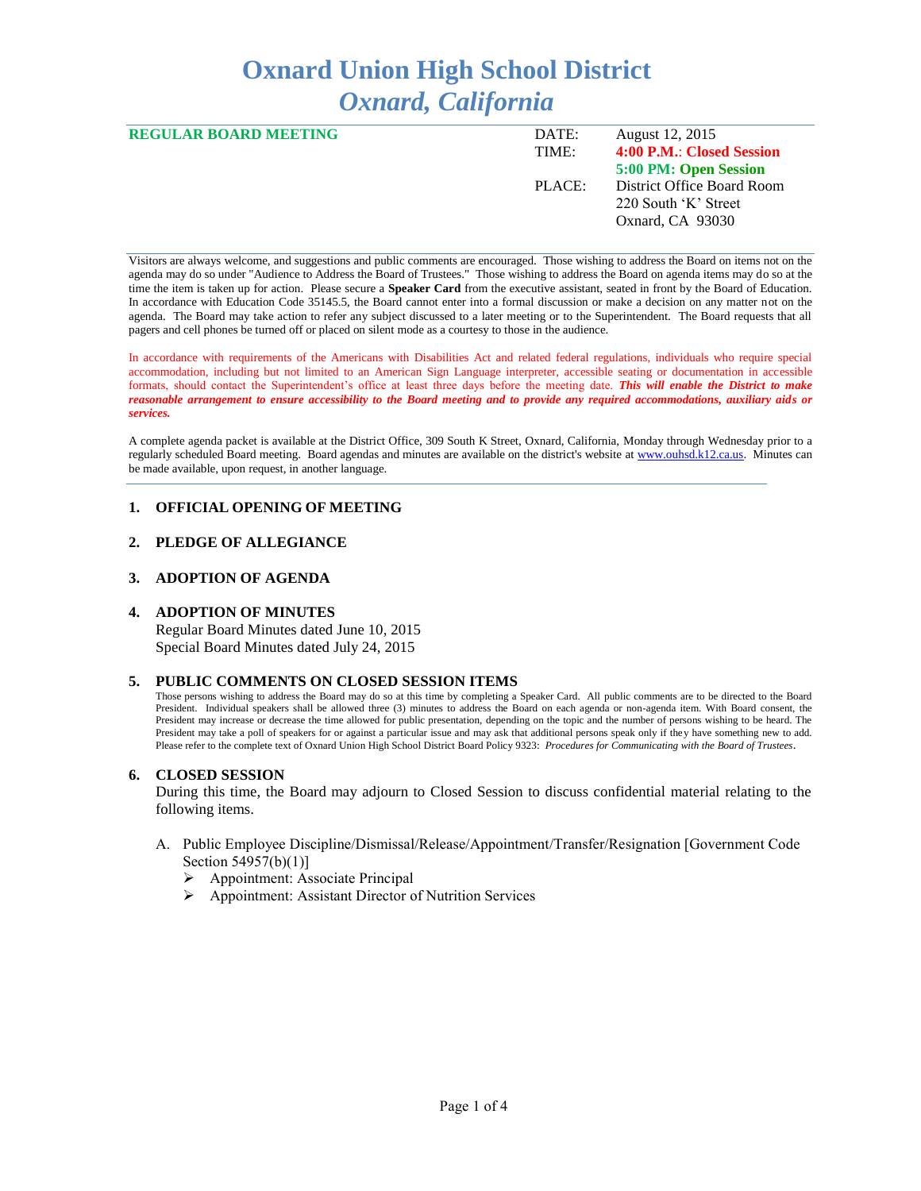# **Oxnard Union High School District** *Oxnard, California*

| <b>REGULAR BOARD MEETING</b> | DATE:  | August 12, 2015            |
|------------------------------|--------|----------------------------|
|                              | TIME:  | 4:00 P.M.: Closed Session  |
|                              |        | 5:00 PM: Open Session      |
|                              | PLACE: | District Office Board Room |
|                              |        | 220 South 'K' Street       |
|                              |        | Oxnard, CA 93030           |
|                              |        |                            |

Visitors are always welcome, and suggestions and public comments are encouraged. Those wishing to address the Board on items not on the agenda may do so under "Audience to Address the Board of Trustees." Those wishing to address the Board on agenda items may do so at the time the item is taken up for action. Please secure a **Speaker Card** from the executive assistant, seated in front by the Board of Education. In accordance with Education Code 35145.5, the Board cannot enter into a formal discussion or make a decision on any matter not on the agenda. The Board may take action to refer any subject discussed to a later meeting or to the Superintendent. The Board requests that all pagers and cell phones be turned off or placed on silent mode as a courtesy to those in the audience.

In accordance with requirements of the Americans with Disabilities Act and related federal regulations, individuals who require special accommodation, including but not limited to an American Sign Language interpreter, accessible seating or documentation in accessible formats, should contact the Superintendent's office at least three days before the meeting date. *This will enable the District to make reasonable arrangement to ensure accessibility to the Board meeting and to provide any required accommodations, auxiliary aids or services.* 

A complete agenda packet is available at the District Office, 309 South K Street, Oxnard, California, Monday through Wednesday prior to a regularly scheduled Board meeting. Board agendas and minutes are available on the district's website a[t www.ouhsd.k12.ca.us.](http://www.ouhsd.k12.ca.us/)Minutes can be made available, upon request, in another language.

# **1. OFFICIAL OPENING OF MEETING**

# **2. PLEDGE OF ALLEGIANCE**

## **3. ADOPTION OF AGENDA**

#### **4. ADOPTION OF MINUTES**

Regular Board Minutes dated June 10, 2015 Special Board Minutes dated July 24, 2015

## **5. PUBLIC COMMENTS ON CLOSED SESSION ITEMS**

Those persons wishing to address the Board may do so at this time by completing a Speaker Card. All public comments are to be directed to the Board President. Individual speakers shall be allowed three (3) minutes to address the Board on each agenda or non-agenda item. With Board consent, the President may increase or decrease the time allowed for public presentation, depending on the topic and the number of persons wishing to be heard. The President may take a poll of speakers for or against a particular issue and may ask that additional persons speak only if they have something new to add. Please refer to the complete text of Oxnard Union High School District Board Policy 9323: *Procedures for Communicating with the Board of Trustees*.

#### **6. CLOSED SESSION**

During this time, the Board may adjourn to Closed Session to discuss confidential material relating to the following items.

- A. Public Employee Discipline/Dismissal/Release/Appointment/Transfer/Resignation [Government Code Section 54957(b)(1)]
	- Appointment: Associate Principal
	- Appointment: Assistant Director of Nutrition Services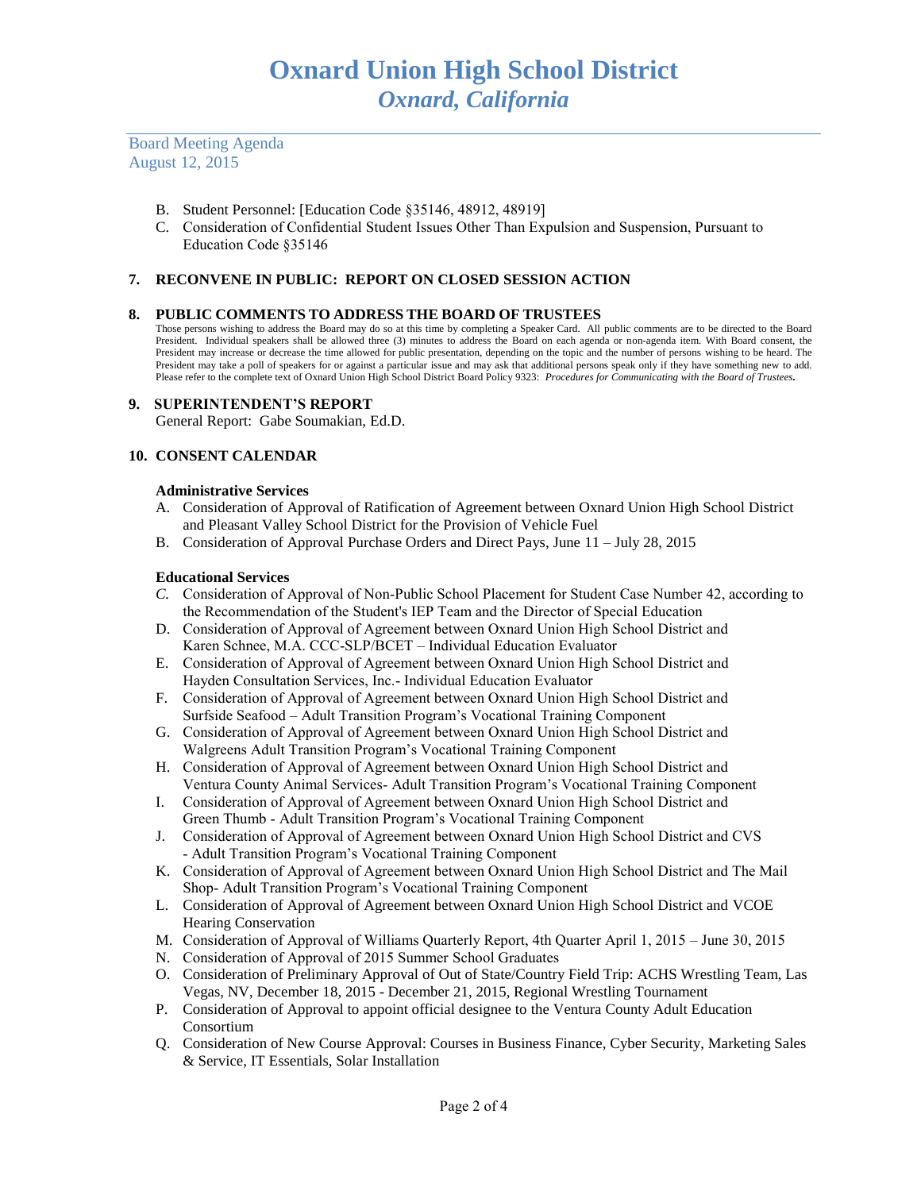Board Meeting Agenda August 12, 2015

- B. Student Personnel: [Education Code §35146, 48912, 48919]
- C. Consideration of Confidential Student Issues Other Than Expulsion and Suspension, Pursuant to Education Code §35146

# **7. RECONVENE IN PUBLIC: REPORT ON CLOSED SESSION ACTION**

# **8. PUBLIC COMMENTS TO ADDRESS THE BOARD OF TRUSTEES**

Those persons wishing to address the Board may do so at this time by completing a Speaker Card. All public comments are to be directed to the Board President. Individual speakers shall be allowed three (3) minutes to address the Board on each agenda or non-agenda item. With Board consent, the President may increase or decrease the time allowed for public presentation, depending on the topic and the number of persons wishing to be heard. The President may take a poll of speakers for or against a particular issue and may ask that additional persons speak only if they have something new to add. Please refer to the complete text of Oxnard Union High School District Board Policy 9323: *Procedures for Communicating with the Board of Trustees.*

## **9. SUPERINTENDENT'S REPORT**

General Report: Gabe Soumakian, Ed.D.

## **10. CONSENT CALENDAR**

## **Administrative Services**

- A. Consideration of Approval of Ratification of Agreement between Oxnard Union High School District and Pleasant Valley School District for the Provision of Vehicle Fuel
- B. Consideration of Approval Purchase Orders and Direct Pays, June 11 July 28, 2015

#### **Educational Services**

- *C.* Consideration of Approval of Non-Public School Placement for Student Case Number 42, according to the Recommendation of the Student's IEP Team and the Director of Special Education
- D. Consideration of Approval of Agreement between Oxnard Union High School District and Karen Schnee, M.A. CCC-SLP/BCET – Individual Education Evaluator
- E. Consideration of Approval of Agreement between Oxnard Union High School District and Hayden Consultation Services, Inc.- Individual Education Evaluator
- F. Consideration of Approval of Agreement between Oxnard Union High School District and Surfside Seafood – Adult Transition Program's Vocational Training Component
- G. Consideration of Approval of Agreement between Oxnard Union High School District and Walgreens Adult Transition Program's Vocational Training Component
- H. Consideration of Approval of Agreement between Oxnard Union High School District and Ventura County Animal Services- Adult Transition Program's Vocational Training Component
- I. Consideration of Approval of Agreement between Oxnard Union High School District and Green Thumb - Adult Transition Program's Vocational Training Component
- J. Consideration of Approval of Agreement between Oxnard Union High School District and CVS - Adult Transition Program's Vocational Training Component
- K. Consideration of Approval of Agreement between Oxnard Union High School District and The Mail Shop- Adult Transition Program's Vocational Training Component
- L. Consideration of Approval of Agreement between Oxnard Union High School District and VCOE Hearing Conservation
- M. Consideration of Approval of Williams Quarterly Report, 4th Quarter April 1, 2015 June 30, 2015
- N. Consideration of Approval of 2015 Summer School Graduates
- O. Consideration of Preliminary Approval of Out of State/Country Field Trip: ACHS Wrestling Team, Las Vegas, NV, December 18, 2015 - December 21, 2015, Regional Wrestling Tournament
- P. Consideration of Approval to appoint official designee to the Ventura County Adult Education Consortium
- Q. Consideration of New Course Approval: Courses in Business Finance, Cyber Security, Marketing Sales & Service, IT Essentials, Solar Installation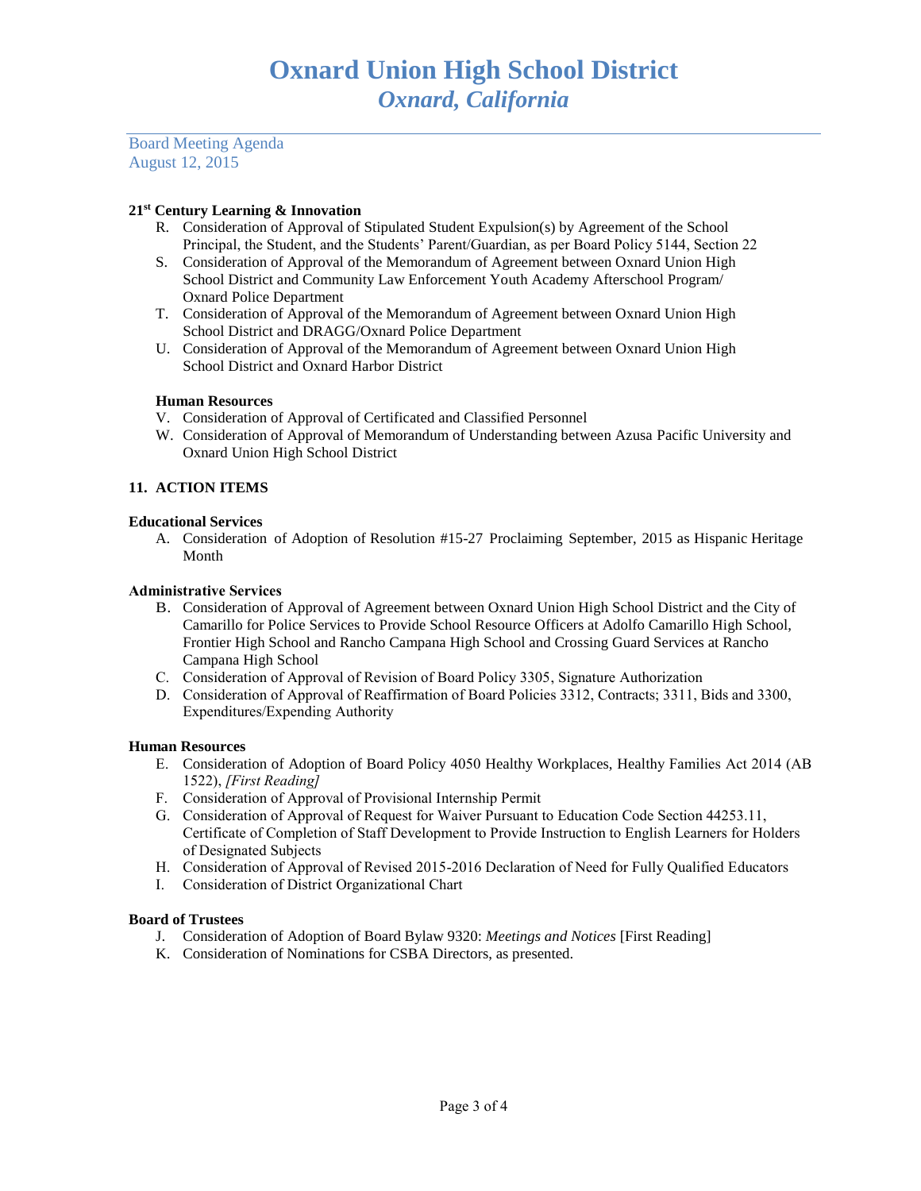Board Meeting Agenda August 12, 2015

# **21st Century Learning & Innovation**

- R. Consideration of Approval of Stipulated Student Expulsion(s) by Agreement of the School Principal, the Student, and the Students' Parent/Guardian, as per Board Policy 5144, Section 22
- S. Consideration of Approval of the Memorandum of Agreement between Oxnard Union High School District and Community Law Enforcement Youth Academy Afterschool Program/ Oxnard Police Department
- T. Consideration of Approval of the Memorandum of Agreement between Oxnard Union High School District and DRAGG/Oxnard Police Department
- U. Consideration of Approval of the Memorandum of Agreement between Oxnard Union High School District and Oxnard Harbor District

# **Human Resources**

- V. Consideration of Approval of Certificated and Classified Personnel
- W. Consideration of Approval of Memorandum of Understanding between Azusa Pacific University and Oxnard Union High School District

# **11. ACTION ITEMS**

# **Educational Services**

A. Consideration of Adoption of Resolution #15-27 Proclaiming September, 2015 as Hispanic Heritage Month

## **Administrative Services**

- B. Consideration of Approval of Agreement between Oxnard Union High School District and the City of Camarillo for Police Services to Provide School Resource Officers at Adolfo Camarillo High School, Frontier High School and Rancho Campana High School and Crossing Guard Services at Rancho Campana High School
- C. Consideration of Approval of Revision of Board Policy 3305, Signature Authorization
- D. Consideration of Approval of Reaffirmation of Board Policies 3312, Contracts; 3311, Bids and 3300, Expenditures/Expending Authority

# **Human Resources**

- E. Consideration of Adoption of Board Policy 4050 Healthy Workplaces, Healthy Families Act 2014 (AB 1522), *[First Reading]*
- F. Consideration of Approval of Provisional Internship Permit
- G. Consideration of Approval of Request for Waiver Pursuant to Education Code Section 44253.11, Certificate of Completion of Staff Development to Provide Instruction to English Learners for Holders of Designated Subjects
- H. Consideration of Approval of Revised 2015-2016 Declaration of Need for Fully Qualified Educators
- I. Consideration of District Organizational Chart

# **Board of Trustees**

- J. Consideration of Adoption of Board Bylaw 9320: *Meetings and Notices* [First Reading]
- K. Consideration of Nominations for CSBA Directors, as presented.